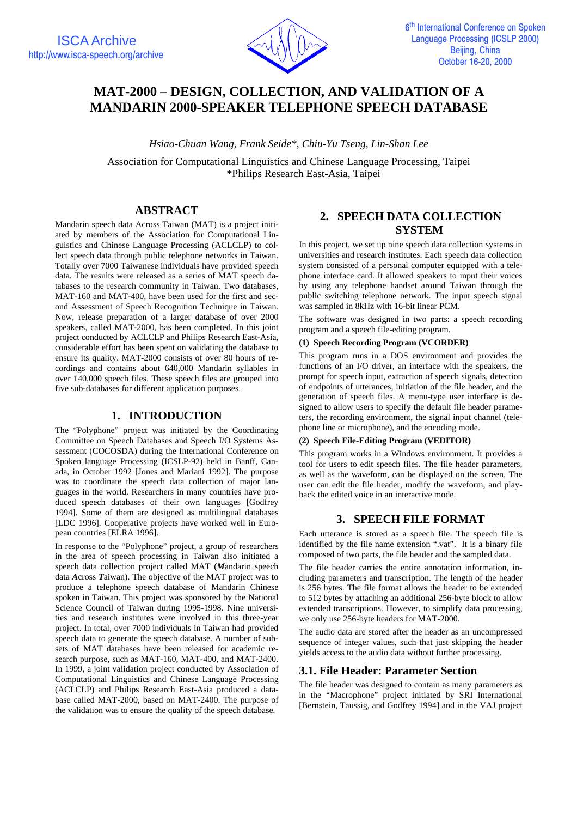

# **MAT-2000 – DESIGN, COLLECTION, AND VALIDATION OF A MANDARIN 2000-SPEAKER TELEPHONE SPEECH DATABASE**

*Hsiao-Chuan Wang, Frank Seide\*, Chiu-Yu Tseng, Lin-Shan Lee*

Association for Computational Linguistics and Chinese Language Processing, Taipei \*Philips Research East-Asia, Taipei

# **ABSTRACT**

Mandarin speech data Across Taiwan (MAT) is a project initiated by members of the Association for Computational Linguistics and Chinese Language Processing (ACLCLP) to collect speech data through public telephone networks in Taiwan. Totally over 7000 Taiwanese individuals have provided speech data. The results were released as a series of MAT speech databases to the research community in Taiwan. Two databases, MAT-160 and MAT-400, have been used for the first and second Assessment of Speech Recognition Technique in Taiwan. Now, release preparation of a larger database of over 2000 speakers, called MAT-2000, has been completed. In this joint project conducted by ACLCLP and Philips Research East-Asia, considerable effort has been spent on validating the database to ensure its quality. MAT-2000 consists of over 80 hours of recordings and contains about 640,000 Mandarin syllables in over 140,000 speech files. These speech files are grouped into five sub-databases for different application purposes.

# **1. INTRODUCTION**

The "Polyphone" project was initiated by the Coordinating Committee on Speech Databases and Speech I/O Systems Assessment (COCOSDA) during the International Conference on Spoken language Processing (ICSLP-92) held in Banff, Canada, in October 1992 [Jones and Mariani 1992]. The purpose was to coordinate the speech data collection of major languages in the world. Researchers in many countries have produced speech databases of their own languages [Godfrey 1994]. Some of them are designed as multilingual databases [LDC 1996]. Cooperative projects have worked well in European countries [ELRA 1996].

In response to the "Polyphone" project, a group of researchers in the area of speech processing in Taiwan also initiated a speech data collection project called MAT (*M*andarin speech data *A*cross *T*aiwan). The objective of the MAT project was to produce a telephone speech database of Mandarin Chinese spoken in Taiwan. This project was sponsored by the National Science Council of Taiwan during 1995-1998. Nine universities and research institutes were involved in this three-year project. In total, over 7000 individuals in Taiwan had provided speech data to generate the speech database. A number of subsets of MAT databases have been released for academic research purpose, such as MAT-160, MAT-400, and MAT-2400. In 1999, a joint validation project conducted by Association of Computational Linguistics and Chinese Language Processing (ACLCLP) and Philips Research East-Asia produced a database called MAT-2000, based on MAT-2400. The purpose of the validation was to ensure the quality of the speech database.

# **2. SPEECH DATA COLLECTION SYSTEM**

In this project, we set up nine speech data collection systems in universities and research institutes. Each speech data collection system consisted of a personal computer equipped with a telephone interface card. It allowed speakers to input their voices by using any telephone handset around Taiwan through the public switching telephone network. The input speech signal was sampled in 8kHz with 16-bit linear PCM.

The software was designed in two parts: a speech recording program and a speech file-editing program.

### **(1) Speech Recording Program (VCORDER)**

This program runs in a DOS environment and provides the functions of an I/O driver, an interface with the speakers, the prompt for speech input, extraction of speech signals, detection of endpoints of utterances, initiation of the file header, and the generation of speech files. A menu-type user interface is designed to allow users to specify the default file header parameters, the recording environment, the signal input channel (telephone line or microphone), and the encoding mode.

#### **(2) Speech File-Editing Program (VEDITOR)**

This program works in a Windows environment. It provides a tool for users to edit speech files. The file header parameters, as well as the waveform, can be displayed on the screen. The user can edit the file header, modify the waveform, and playback the edited voice in an interactive mode.

# **3. SPEECH FILE FORMAT**

Each utterance is stored as a speech file. The speech file is identified by the file name extension ".vat". It is a binary file composed of two parts, the file header and the sampled data.

The file header carries the entire annotation information, including parameters and transcription. The length of the header is 256 bytes. The file format allows the header to be extended to 512 bytes by attaching an additional 256-byte block to allow extended transcriptions. However, to simplify data processing, we only use 256-byte headers for MAT-2000.

The audio data are stored after the header as an uncompressed sequence of integer values, such that just skipping the header yields access to the audio data without further processing.

# **3.1. File Header: Parameter Section**

The file header was designed to contain as many parameters as in the "Macrophone" project initiated by SRI International [Bernstein, Taussig, and Godfrey 1994] and in the VAJ project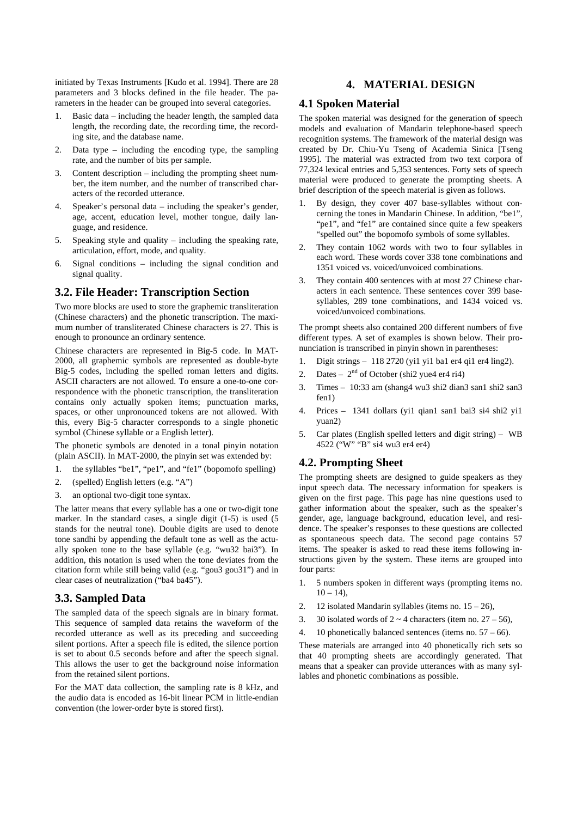initiated by Texas Instruments [Kudo et al. 1994]. There are 28 parameters and 3 blocks defined in the file header. The parameters in the header can be grouped into several categories.

- 1. Basic data including the header length, the sampled data length, the recording date, the recording time, the recording site, and the database name.
- 2. Data type including the encoding type, the sampling rate, and the number of bits per sample.
- 3. Content description including the prompting sheet number, the item number, and the number of transcribed characters of the recorded utterance.
- 4. Speaker's personal data including the speaker's gender, age, accent, education level, mother tongue, daily language, and residence.
- 5. Speaking style and quality including the speaking rate, articulation, effort, mode, and quality.
- 6. Signal conditions including the signal condition and signal quality.

# **3.2. File Header: Transcription Section**

Two more blocks are used to store the graphemic transliteration (Chinese characters) and the phonetic transcription. The maximum number of transliterated Chinese characters is 27. This is enough to pronounce an ordinary sentence.

Chinese characters are represented in Big-5 code. In MAT-2000, all graphemic symbols are represented as double-byte Big-5 codes, including the spelled roman letters and digits. ASCII characters are not allowed. To ensure a one-to-one correspondence with the phonetic transcription, the transliteration contains only actually spoken items; punctuation marks, spaces, or other unpronounced tokens are not allowed. With this, every Big-5 character corresponds to a single phonetic symbol (Chinese syllable or a English letter).

The phonetic symbols are denoted in a tonal pinyin notation (plain ASCII). In MAT-2000, the pinyin set was extended by:

- 1. the syllables "be1", "pe1", and "fe1" (bopomofo spelling)
- 2. (spelled) English letters (e.g. "A")
- 3. an optional two-digit tone syntax.

The latter means that every syllable has a one or two-digit tone marker. In the standard cases, a single digit (1-5) is used (5 stands for the neutral tone). Double digits are used to denote tone sandhi by appending the default tone as well as the actually spoken tone to the base syllable (e.g. "wu32 bai3"). In addition, this notation is used when the tone deviates from the citation form while still being valid (e.g. "gou3 gou31") and in clear cases of neutralization ("ba4 ba45").

### **3.3. Sampled Data**

The sampled data of the speech signals are in binary format. This sequence of sampled data retains the waveform of the recorded utterance as well as its preceding and succeeding silent portions. After a speech file is edited, the silence portion is set to about 0.5 seconds before and after the speech signal. This allows the user to get the background noise information from the retained silent portions.

For the MAT data collection, the sampling rate is 8 kHz, and the audio data is encoded as 16-bit linear PCM in little-endian convention (the lower-order byte is stored first).

# **4. MATERIAL DESIGN**

### **4.1 Spoken Material**

The spoken material was designed for the generation of speech models and evaluation of Mandarin telephone-based speech recognition systems. The framework of the material design was created by Dr. Chiu-Yu Tseng of Academia Sinica [Tseng 1995]. The material was extracted from two text corpora of 77,324 lexical entries and 5,353 sentences. Forty sets of speech material were produced to generate the prompting sheets. A brief description of the speech material is given as follows.

- 1. By design, they cover 407 base-syllables without concerning the tones in Mandarin Chinese. In addition, "be1", "pe1", and "fe1" are contained since quite a few speakers "spelled out" the bopomofo symbols of some syllables.
- 2. They contain 1062 words with two to four syllables in each word. These words cover 338 tone combinations and 1351 voiced vs. voiced/unvoiced combinations.
- 3. They contain 400 sentences with at most 27 Chinese characters in each sentence. These sentences cover 399 basesyllables, 289 tone combinations, and 1434 voiced vs. voiced/unvoiced combinations.

The prompt sheets also contained 200 different numbers of five different types. A set of examples is shown below. Their pronunciation is transcribed in pinyin shown in parentheses:

- 1. Digit strings 118 2720 (yi1 yi1 ba1 er4 qi1 er4 ling2).
- 2. Dates  $2<sup>nd</sup>$  of October (shi2 yue4 er4 ri4)
- 3. Times 10:33 am (shang4 wu3 shi2 dian3 san1 shi2 san3 fen1)
- 4. Prices 1341 dollars (yi1 qian1 san1 bai3 si4 shi2 yi1 yuan2)
- 5. Car plates (English spelled letters and digit string) WB 4522 ("W" "B" si4 wu3 er4 er4)

# **4.2. Prompting Sheet**

The prompting sheets are designed to guide speakers as they input speech data. The necessary information for speakers is given on the first page. This page has nine questions used to gather information about the speaker, such as the speaker's gender, age, language background, education level, and residence. The speaker's responses to these questions are collected as spontaneous speech data. The second page contains 57 items. The speaker is asked to read these items following instructions given by the system. These items are grouped into four parts:

- 1. 5 numbers spoken in different ways (prompting items no.  $10 - 14$ ),
- 2. 12 isolated Mandarin syllables (items no.  $15 26$ ),
- 3. 30 isolated words of  $2 \sim 4$  characters (item no.  $27 56$ ),
- 4. 10 phonetically balanced sentences (items no. 57 66).

These materials are arranged into 40 phonetically rich sets so that 40 prompting sheets are accordingly generated. That means that a speaker can provide utterances with as many syllables and phonetic combinations as possible.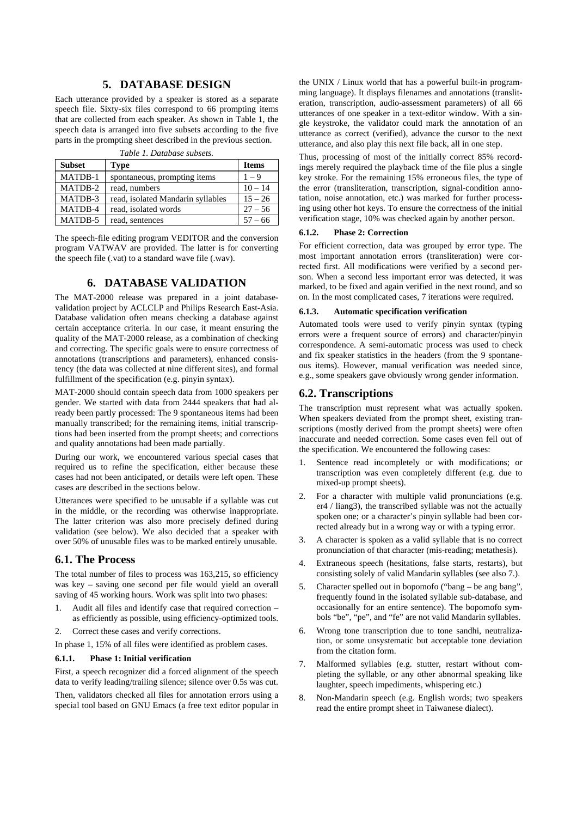# **5. DATABASE DESIGN**

Each utterance provided by a speaker is stored as a separate speech file. Sixty-six files correspond to 66 prompting items that are collected from each speaker. As shown in Table 1, the speech data is arranged into five subsets according to the five parts in the prompting sheet described in the previous section.

| <b>Subset</b> | <b>Type</b>                       | <b>Items</b> |
|---------------|-----------------------------------|--------------|
| MATDB-1       | spontaneous, prompting items      | $1 - 9$      |
| MATDB-2       | read, numbers                     | $10 - 14$    |
| MATDB-3       | read, isolated Mandarin syllables | $15 - 26$    |
| MATDB-4       | read, isolated words              | $27 - 56$    |
| MATDB-5       | read, sentences                   | $57 - 66$    |

*Table 1. Database subsets.*

The speech-file editing program VEDITOR and the conversion program VATWAV are provided. The latter is for converting the speech file (.vat) to a standard wave file (.wav).

# **6. DATABASE VALIDATION**

The MAT-2000 release was prepared in a joint databasevalidation project by ACLCLP and Philips Research East-Asia. Database validation often means checking a database against certain acceptance criteria. In our case, it meant ensuring the quality of the MAT-2000 release, as a combination of checking and correcting. The specific goals were to ensure correctness of annotations (transcriptions and parameters), enhanced consistency (the data was collected at nine different sites), and formal fulfillment of the specification (e.g. pinyin syntax).

MAT-2000 should contain speech data from 1000 speakers per gender. We started with data from 2444 speakers that had already been partly processed: The 9 spontaneous items had been manually transcribed; for the remaining items, initial transcriptions had been inserted from the prompt sheets; and corrections and quality annotations had been made partially.

During our work, we encountered various special cases that required us to refine the specification, either because these cases had not been anticipated, or details were left open. These cases are described in the sections below.

Utterances were specified to be unusable if a syllable was cut in the middle, or the recording was otherwise inappropriate. The latter criterion was also more precisely defined during validation (see below). We also decided that a speaker with over 50% of unusable files was to be marked entirely unusable.

### **6.1. The Process**

The total number of files to process was 163,215, so efficiency was key – saving one second per file would yield an overall saving of 45 working hours. Work was split into two phases:

- 1. Audit all files and identify case that required correction as efficiently as possible, using efficiency-optimized tools.
- 2. Correct these cases and verify corrections.

In phase 1, 15% of all files were identified as problem cases.

#### **6.1.1. Phase 1: Initial verification**

First, a speech recognizer did a forced alignment of the speech data to verify leading/trailing silence; silence over 0.5s was cut.

Then, validators checked all files for annotation errors using a special tool based on GNU Emacs (a free text editor popular in

the UNIX / Linux world that has a powerful built-in programming language). It displays filenames and annotations (transliteration, transcription, audio-assessment parameters) of all 66 utterances of one speaker in a text-editor window. With a single keystroke, the validator could mark the annotation of an utterance as correct (verified), advance the cursor to the next utterance, and also play this next file back, all in one step.

Thus, processing of most of the initially correct 85% recordings merely required the playback time of the file plus a single key stroke. For the remaining 15% erroneous files, the type of the error (transliteration, transcription, signal-condition annotation, noise annotation, etc.) was marked for further processing using other hot keys. To ensure the correctness of the initial verification stage, 10% was checked again by another person.

#### **6.1.2. Phase 2: Correction**

For efficient correction, data was grouped by error type. The most important annotation errors (transliteration) were corrected first. All modifications were verified by a second person. When a second less important error was detected, it was marked, to be fixed and again verified in the next round, and so on. In the most complicated cases, 7 iterations were required.

#### **6.1.3. Automatic specification verification**

Automated tools were used to verify pinyin syntax (typing errors were a frequent source of errors) and character/pinyin correspondence. A semi-automatic process was used to check and fix speaker statistics in the headers (from the 9 spontaneous items). However, manual verification was needed since, e.g., some speakers gave obviously wrong gender information.

#### **6.2. Transcriptions**

The transcription must represent what was actually spoken. When speakers deviated from the prompt sheet, existing transcriptions (mostly derived from the prompt sheets) were often inaccurate and needed correction. Some cases even fell out of the specification. We encountered the following cases:

- 1. Sentence read incompletely or with modifications; or transcription was even completely different (e.g. due to mixed-up prompt sheets).
- 2. For a character with multiple valid pronunciations (e.g. er4 / liang3), the transcribed syllable was not the actually spoken one; or a character's pinyin syllable had been corrected already but in a wrong way or with a typing error.
- 3. A character is spoken as a valid syllable that is no correct pronunciation of that character (mis-reading; metathesis).
- 4. Extraneous speech (hesitations, false starts, restarts), but consisting solely of valid Mandarin syllables (see also 7.).
- 5. Character spelled out in bopomofo ("bang be ang bang", frequently found in the isolated syllable sub-database, and occasionally for an entire sentence). The bopomofo symbols "be", "pe", and "fe" are not valid Mandarin syllables.
- 6. Wrong tone transcription due to tone sandhi, neutralization, or some unsystematic but acceptable tone deviation from the citation form.
- Malformed syllables (e.g. stutter, restart without completing the syllable, or any other abnormal speaking like laughter, speech impediments, whispering etc.)
- 8. Non-Mandarin speech (e.g. English words; two speakers read the entire prompt sheet in Taiwanese dialect).